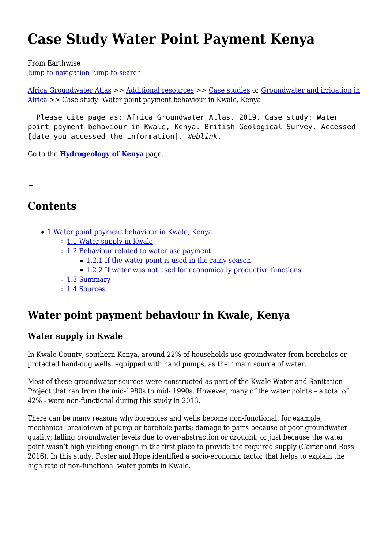# **Case Study Water Point Payment Kenya**

From Earthwise

[Jump to navigation](#page--1-0) [Jump to search](#page--1-0)

[Africa Groundwater Atlas](http://earthwise.bgs.ac.uk/index.php/Africa_Groundwater_Atlas_Home) >> [Additional resources](http://earthwise.bgs.ac.uk/index.php/Additional_resources) >> [Case studies](http://earthwise.bgs.ac.uk/index.php/Case_studies) or [Groundwater and irrigation in](http://earthwise.bgs.ac.uk/index.php/Groundwater_irrigation_in_Africa) [Africa](http://earthwise.bgs.ac.uk/index.php/Groundwater_irrigation_in_Africa) >> Case study: Water point payment behaviour in Kwale, Kenya

 Please cite page as: Africa Groundwater Atlas. 2019. Case study: Water point payment behaviour in Kwale, Kenya. British Geological Survey. Accessed [date you accessed the information]. *Weblink*.

Go to the **[Hydrogeology of Kenya](http://earthwise.bgs.ac.uk/index.php/Hydrogeology_of_Kenya)** page.

#### $\Box$

## **Contents**

- [1](#Water_point_payment_behaviour_in_Kwale.2C_Kenya) [Water point payment behaviour in Kwale, Kenya](#Water_point_payment_behaviour_in_Kwale.2C_Kenya)
	- [1.1](#page--1-0) [Water supply in Kwale](#page--1-0)
	- o [1.2](#page--1-0) [Behaviour related to water use payment](#page--1-0)
		- [1.2.1](#page--1-0) [If the water point is used in the rainy season](#page--1-0)
		- [1.2.2](#page--1-0) [If water was not used for economically productive functions](#page--1-0)
	- [1.3](#page--1-0) [Summary](#page--1-0)
	- [1.4](#page--1-0) [Sources](#page--1-0)

## **Water point payment behaviour in Kwale, Kenya**

## **Water supply in Kwale**

In Kwale County, southern Kenya, around 22% of households use groundwater from boreholes or protected hand-dug wells, equipped with hand pumps, as their main source of water.

Most of these groundwater sources were constructed as part of the Kwale Water and Sanitation Project that ran from the mid-1980s to mid- 1990s. However, many of the water points – a total of 42% - were non-functional during this study in 2013.

There can be many reasons why boreholes and wells become non-functional: for example, mechanical breakdown of pump or borehole parts; damage to parts because of poor groundwater quality; falling groundwater levels due to over-abstraction or drought; or just because the water point wasn't high yielding enough in the first place to provide the required supply (Carter and Ross 2016). In this study, Foster and Hope identified a socio-economic factor that helps to explain the high rate of non-functional water points in Kwale.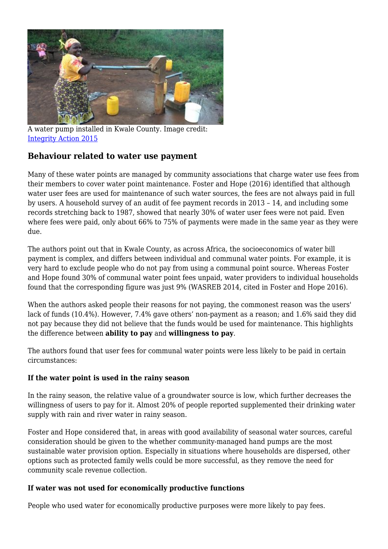

A water pump installed in Kwale County. Image credit: [Integrity Action 2015](https://integrityaction.org/update/notes-from-field-integrity-action%E2%80%99s-president-visits-lunga-lunga-kenya)

## **Behaviour related to water use payment**

Many of these water points are managed by community associations that charge water use fees from their members to cover water point maintenance. Foster and Hope (2016) identified that although water user fees are used for maintenance of such water sources, the fees are not always paid in full by users. A household survey of an audit of fee payment records in 2013 – 14, and including some records stretching back to 1987, showed that nearly 30% of water user fees were not paid. Even where fees were paid, only about 66% to 75% of payments were made in the same year as they were due.

The authors point out that in Kwale County, as across Africa, the socioeconomics of water bill payment is complex, and differs between individual and communal water points. For example, it is very hard to exclude people who do not pay from using a communal point source. Whereas Foster and Hope found 30% of communal water point fees unpaid, water providers to individual households found that the corresponding figure was just 9% (WASREB 2014, cited in Foster and Hope 2016).

When the authors asked people their reasons for not paying, the commonest reason was the users' lack of funds (10.4%). However, 7.4% gave others' non-payment as a reason; and 1.6% said they did not pay because they did not believe that the funds would be used for maintenance. This highlights the difference between **ability to pay** and **willingness to pay**.

The authors found that user fees for communal water points were less likely to be paid in certain circumstances:

## **If the water point is used in the rainy season**

In the rainy season, the relative value of a groundwater source is low, which further decreases the willingness of users to pay for it. Almost 20% of people reported supplemented their drinking water supply with rain and river water in rainy season.

Foster and Hope considered that, in areas with good availability of seasonal water sources, careful consideration should be given to the whether community-managed hand pumps are the most sustainable water provision option. Especially in situations where households are dispersed, other options such as protected family wells could be more successful, as they remove the need for community scale revenue collection.

## **If water was not used for economically productive functions**

People who used water for economically productive purposes were more likely to pay fees.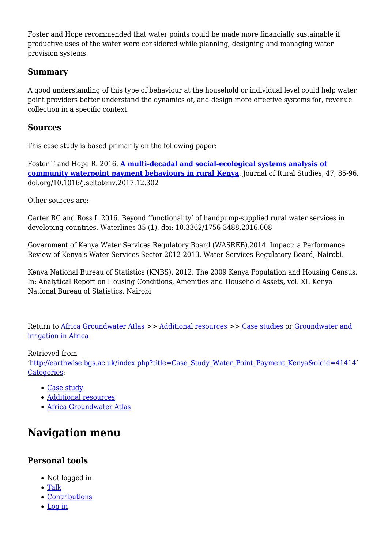Foster and Hope recommended that water points could be made more financially sustainable if productive uses of the water were considered while planning, designing and managing water provision systems.

#### **Summary**

A good understanding of this type of behaviour at the household or individual level could help water point providers better understand the dynamics of, and design more effective systems for, revenue collection in a specific context.

#### **Sources**

This case study is based primarily on the following paper:

Foster T and Hope R. 2016. **[A multi-decadal and social-ecological systems analysis of](https://upgro.files.wordpress.com/2018/01/tim-foster-2018.pdf) [community waterpoint payment behaviours in rural Kenya](https://upgro.files.wordpress.com/2018/01/tim-foster-2018.pdf)**. Journal of Rural Studies, 47, 85-96. doi.org/10.1016/j.scitotenv.2017.12.302

Other sources are:

Carter RC and Ross I. 2016. Beyond 'functionality' of handpump-supplied rural water services in developing countries. Waterlines 35 (1). doi: 10.3362/1756-3488.2016.008

Government of Kenya Water Services Regulatory Board (WASREB).2014. Impact: a Performance Review of Kenya's Water Services Sector 2012-2013. Water Services Regulatory Board, Nairobi.

Kenya National Bureau of Statistics (KNBS). 2012. The 2009 Kenya Population and Housing Census. In: Analytical Report on Housing Conditions, Amenities and Household Assets, vol. XI. Kenya National Bureau of Statistics, Nairobi

Return to [Africa Groundwater Atlas](http://earthwise.bgs.ac.uk/index.php/Africa_Groundwater_Atlas_Home) >> [Additional resources](http://earthwise.bgs.ac.uk/index.php/Additional_resources) >> [Case studies](http://earthwise.bgs.ac.uk/index.php/Case_studies) or [Groundwater and](http://earthwise.bgs.ac.uk/index.php/Groundwater_irrigation_in_Africa) [irrigation in Africa](http://earthwise.bgs.ac.uk/index.php/Groundwater_irrigation_in_Africa)

#### Retrieved from

'[http://earthwise.bgs.ac.uk/index.php?title=Case\\_Study\\_Water\\_Point\\_Payment\\_Kenya&oldid=41414'](http://earthwise.bgs.ac.uk/index.php?title=Case_Study_Water_Point_Payment_Kenya&oldid=41414) [Categories:](http://earthwise.bgs.ac.uk/index.php/Special:Categories)

- [Case study](http://earthwise.bgs.ac.uk/index.php/Category:Case_study)
- [Additional resources](http://earthwise.bgs.ac.uk/index.php/Category:Additional_resources)
- [Africa Groundwater Atlas](http://earthwise.bgs.ac.uk/index.php/Category:Africa_Groundwater_Atlas)

## **Navigation menu**

## **Personal tools**

- Not logged in
- [Talk](http://earthwise.bgs.ac.uk/index.php/Special:MyTalk)
- [Contributions](http://earthwise.bgs.ac.uk/index.php/Special:MyContributions)
- [Log in](http://earthwise.bgs.ac.uk/index.php?title=Special:UserLogin&returnto=Case+Study+Water+Point+Payment+Kenya&returntoquery=action%3Dmpdf)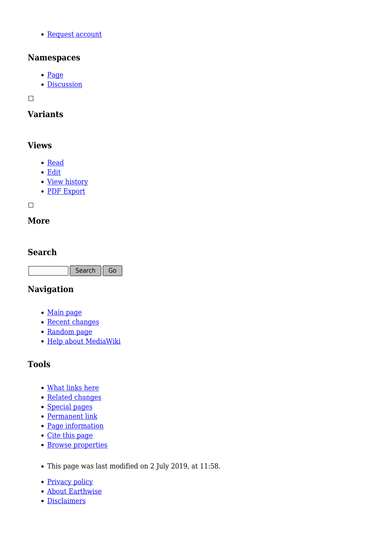[Request account](http://earthwise.bgs.ac.uk/index.php/Special:RequestAccount)

## **Namespaces**

- [Page](http://earthwise.bgs.ac.uk/index.php/Case_Study_Water_Point_Payment_Kenya)
- [Discussion](http://earthwise.bgs.ac.uk/index.php?title=Talk:Case_Study_Water_Point_Payment_Kenya&action=edit&redlink=1)

 $\Box$ 

## **Variants**

## **Views**

- [Read](http://earthwise.bgs.ac.uk/index.php/Case_Study_Water_Point_Payment_Kenya)
- [Edit](http://earthwise.bgs.ac.uk/index.php?title=Case_Study_Water_Point_Payment_Kenya&action=edit)
- [View history](http://earthwise.bgs.ac.uk/index.php?title=Case_Study_Water_Point_Payment_Kenya&action=history)
- [PDF Export](http://earthwise.bgs.ac.uk/index.php?title=Case_Study_Water_Point_Payment_Kenya&action=mpdf)

 $\Box$ 

## **More**

## **Search**

Search Go

## **Navigation**

- [Main page](http://earthwise.bgs.ac.uk/index.php/Main_Page)
- [Recent changes](http://earthwise.bgs.ac.uk/index.php/Special:RecentChanges)
- [Random page](http://earthwise.bgs.ac.uk/index.php/Special:Random)
- [Help about MediaWiki](https://www.mediawiki.org/wiki/Special:MyLanguage/Help:Contents)

## **Tools**

- [What links here](http://earthwise.bgs.ac.uk/index.php/Special:WhatLinksHere/Case_Study_Water_Point_Payment_Kenya)
- [Related changes](http://earthwise.bgs.ac.uk/index.php/Special:RecentChangesLinked/Case_Study_Water_Point_Payment_Kenya)
- [Special pages](http://earthwise.bgs.ac.uk/index.php/Special:SpecialPages)
- [Permanent link](http://earthwise.bgs.ac.uk/index.php?title=Case_Study_Water_Point_Payment_Kenya&oldid=41414)
- [Page information](http://earthwise.bgs.ac.uk/index.php?title=Case_Study_Water_Point_Payment_Kenya&action=info)
- [Cite this page](http://earthwise.bgs.ac.uk/index.php?title=Special:CiteThisPage&page=Case_Study_Water_Point_Payment_Kenya&id=41414)
- **[Browse properties](http://earthwise.bgs.ac.uk/index.php/Special:Browse/:Case-5FStudy-5FWater-5FPoint-5FPayment-5FKenya)**
- This page was last modified on 2 July 2019, at 11:58.
- [Privacy policy](http://earthwise.bgs.ac.uk/index.php/Earthwise:Privacy_policy)
- [About Earthwise](http://earthwise.bgs.ac.uk/index.php/Earthwise:About)
- [Disclaimers](http://earthwise.bgs.ac.uk/index.php/Earthwise:General_disclaimer)